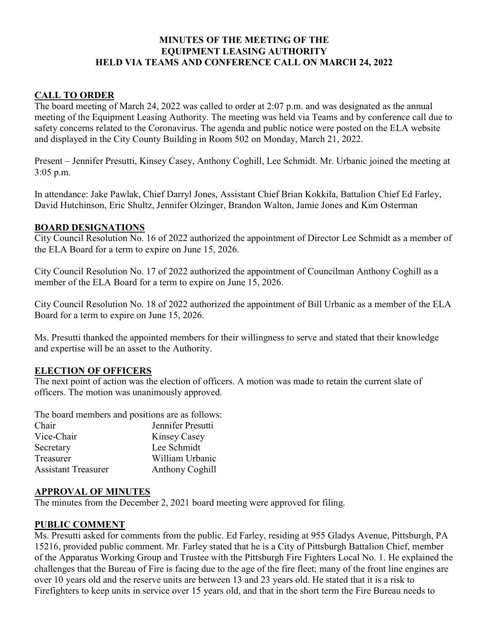## MINUTES OF THE MEETING OF THE EQUIPMENT LEASING AUTHORITY HELD VIA TEAMS AND CONFERENCE CALL ON MARCH 24, 2022

#### CALL TO ORDER

The board meeting of March 24, 2022 was called to order at 2:07 p.m. and was designated as the annual meeting of the Equipment Leasing Authority. The meeting was held via Teams and by conference call due to safety concerns related to the Coronavirus. The agenda and public notice were posted on the ELA website and displayed in the City County Building in Room 502 on Monday, March 21, 2022.

Present – Jennifer Presutti, Kinsey Casey, Anthony Coghill, Lee Schmidt. Mr. Urbanic joined the meeting at 3:05 p.m.

In attendance: Jake Pawlak, Chief Darryl Jones, Assistant Chief Brian Kokkila, Battalion Chief Ed Farley, David Hutchinson, Eric Shultz, Jennifer Olzinger, Brandon Walton, Jamie Jones and Kim Osterman

#### BOARD DESIGNATIONS

City Council Resolution No. 16 of 2022 authorized the appointment of Director Lee Schmidt as a member of the ELA Board for a term to expire on June 15, 2026.

City Council Resolution No. 17 of 2022 authorized the appointment of Councilman Anthony Coghill as a member of the ELA Board for a term to expire on June 15, 2026.

City Council Resolution No. 18 of 2022 authorized the appointment of Bill Urbanic as a member of the ELA Board for a term to expire on June 15, 2026.

Ms. Presutti thanked the appointed members for their willingness to serve and stated that their knowledge and expertise will be an asset to the Authority.

#### ELECTION OF OFFICERS

The next point of action was the election of officers. A motion was made to retain the current slate of officers. The motion was unanimously approved.

The board members and positions are as follows:

| Chair                      | Jennifer Presutti      |
|----------------------------|------------------------|
| Vice-Chair                 | Kinsey Casey           |
| Secretary                  | Lee Schmidt            |
| Treasurer                  | William Urbanic        |
| <b>Assistant Treasurer</b> | <b>Anthony Coghill</b> |

#### APPROVAL OF MINUTES

The minutes from the December 2, 2021 board meeting were approved for filing.

## PUBLIC COMMENT

Ms. Presutti asked for comments from the public. Ed Farley, residing at 955 Gladys Avenue, Pittsburgh, PA 15216, provided public comment. Mr. Farley stated that he is a City of Pittsburgh Battalion Chief, member of the Apparatus Working Group and Trustee with the Pittsburgh Fire Fighters Local No. 1. He explained the challenges that the Bureau of Fire is facing due to the age of the fire fleet; many of the front line engines are over 10 years old and the reserve units are between 13 and 23 years old. He stated that it is a risk to Firefighters to keep units in service over 15 years old, and that in the short term the Fire Bureau needs to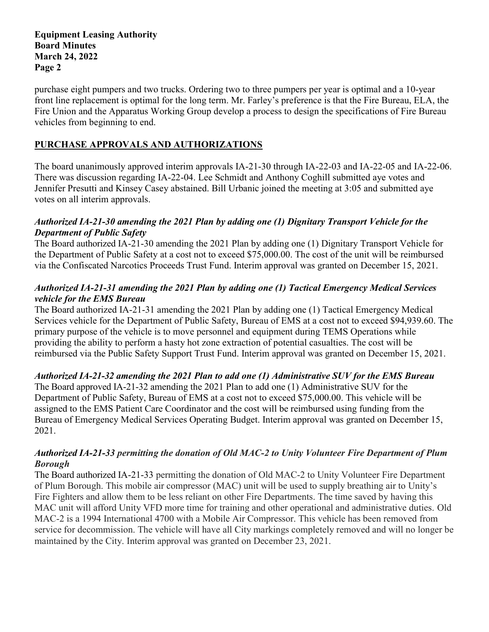purchase eight pumpers and two trucks. Ordering two to three pumpers per year is optimal and a 10-year front line replacement is optimal for the long term. Mr. Farley's preference is that the Fire Bureau, ELA, the Fire Union and the Apparatus Working Group develop a process to design the specifications of Fire Bureau vehicles from beginning to end.

# PURCHASE APPROVALS AND AUTHORIZATIONS

The board unanimously approved interim approvals IA-21-30 through IA-22-03 and IA-22-05 and IA-22-06. There was discussion regarding IA-22-04. Lee Schmidt and Anthony Coghill submitted aye votes and Jennifer Presutti and Kinsey Casey abstained. Bill Urbanic joined the meeting at 3:05 and submitted aye votes on all interim approvals.

## Authorized IA-21-30 amending the 2021 Plan by adding one (1) Dignitary Transport Vehicle for the Department of Public Safety

The Board authorized IA-21-30 amending the 2021 Plan by adding one (1) Dignitary Transport Vehicle for the Department of Public Safety at a cost not to exceed \$75,000.00. The cost of the unit will be reimbursed via the Confiscated Narcotics Proceeds Trust Fund. Interim approval was granted on December 15, 2021.

## Authorized IA-21-31 amending the 2021 Plan by adding one (1) Tactical Emergency Medical Services vehicle for the EMS Bureau

The Board authorized IA-21-31 amending the 2021 Plan by adding one (1) Tactical Emergency Medical Services vehicle for the Department of Public Safety, Bureau of EMS at a cost not to exceed \$94,939.60. The primary purpose of the vehicle is to move personnel and equipment during TEMS Operations while providing the ability to perform a hasty hot zone extraction of potential casualties. The cost will be reimbursed via the Public Safety Support Trust Fund. Interim approval was granted on December 15, 2021.

## Authorized IA-21-32 amending the 2021 Plan to add one (1) Administrative SUV for the EMS Bureau

The Board approved IA-21-32 amending the 2021 Plan to add one (1) Administrative SUV for the Department of Public Safety, Bureau of EMS at a cost not to exceed \$75,000.00. This vehicle will be assigned to the EMS Patient Care Coordinator and the cost will be reimbursed using funding from the Bureau of Emergency Medical Services Operating Budget. Interim approval was granted on December 15, 2021.

#### Authorized IA-21-33 permitting the donation of Old MAC-2 to Unity Volunteer Fire Department of Plum Borough

The Board authorized IA-21-33 permitting the donation of Old MAC-2 to Unity Volunteer Fire Department of Plum Borough. This mobile air compressor (MAC) unit will be used to supply breathing air to Unity's Fire Fighters and allow them to be less reliant on other Fire Departments. The time saved by having this MAC unit will afford Unity VFD more time for training and other operational and administrative duties. Old MAC-2 is a 1994 International 4700 with a Mobile Air Compressor. This vehicle has been removed from service for decommission. The vehicle will have all City markings completely removed and will no longer be maintained by the City. Interim approval was granted on December 23, 2021.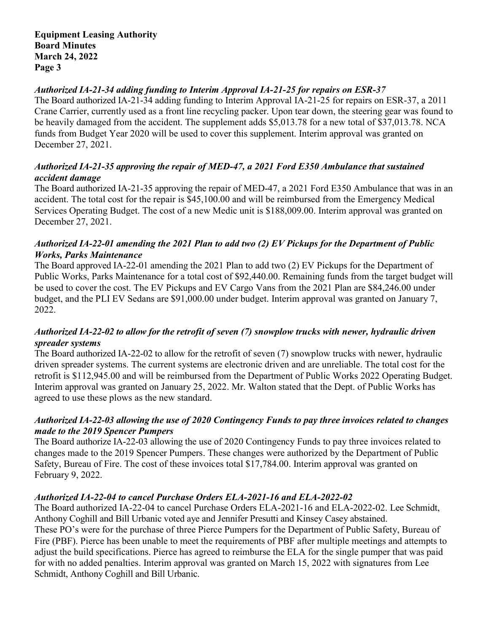# Authorized IA-21-34 adding funding to Interim Approval IA-21-25 for repairs on ESR-37

The Board authorized IA-21-34 adding funding to Interim Approval IA-21-25 for repairs on ESR-37, a 2011 Crane Carrier, currently used as a front line recycling packer. Upon tear down, the steering gear was found to be heavily damaged from the accident. The supplement adds \$5,013.78 for a new total of \$37,013.78. NCA funds from Budget Year 2020 will be used to cover this supplement. Interim approval was granted on December 27, 2021.

# Authorized IA-21-35 approving the repair of MED-47, a 2021 Ford E350 Ambulance that sustained accident damage

The Board authorized IA-21-35 approving the repair of MED-47, a 2021 Ford E350 Ambulance that was in an accident. The total cost for the repair is \$45,100.00 and will be reimbursed from the Emergency Medical Services Operating Budget. The cost of a new Medic unit is \$188,009.00. Interim approval was granted on December 27, 2021.

# Authorized IA-22-01 amending the 2021 Plan to add two (2) EV Pickups for the Department of Public Works, Parks Maintenance

The Board approved IA-22-01 amending the 2021 Plan to add two (2) EV Pickups for the Department of Public Works, Parks Maintenance for a total cost of \$92,440.00. Remaining funds from the target budget will be used to cover the cost. The EV Pickups and EV Cargo Vans from the 2021 Plan are \$84,246.00 under budget, and the PLI EV Sedans are \$91,000.00 under budget. Interim approval was granted on January 7, 2022.

## Authorized IA-22-02 to allow for the retrofit of seven (7) snowplow trucks with newer, hydraulic driven spreader systems

The Board authorized IA-22-02 to allow for the retrofit of seven (7) snowplow trucks with newer, hydraulic driven spreader systems. The current systems are electronic driven and are unreliable. The total cost for the retrofit is \$112,945.00 and will be reimbursed from the Department of Public Works 2022 Operating Budget. Interim approval was granted on January 25, 2022. Mr. Walton stated that the Dept. of Public Works has agreed to use these plows as the new standard.

## Authorized IA-22-03 allowing the use of 2020 Contingency Funds to pay three invoices related to changes made to the 2019 Spencer Pumpers

The Board authorize IA-22-03 allowing the use of 2020 Contingency Funds to pay three invoices related to changes made to the 2019 Spencer Pumpers. These changes were authorized by the Department of Public Safety, Bureau of Fire. The cost of these invoices total \$17,784.00. Interim approval was granted on February 9, 2022.

## Authorized IA-22-04 to cancel Purchase Orders ELA-2021-16 and ELA-2022-02

The Board authorized IA-22-04 to cancel Purchase Orders ELA-2021-16 and ELA-2022-02. Lee Schmidt, Anthony Coghill and Bill Urbanic voted aye and Jennifer Presutti and Kinsey Casey abstained. These PO's were for the purchase of three Pierce Pumpers for the Department of Public Safety, Bureau of Fire (PBF). Pierce has been unable to meet the requirements of PBF after multiple meetings and attempts to adjust the build specifications. Pierce has agreed to reimburse the ELA for the single pumper that was paid for with no added penalties. Interim approval was granted on March 15, 2022 with signatures from Lee Schmidt, Anthony Coghill and Bill Urbanic.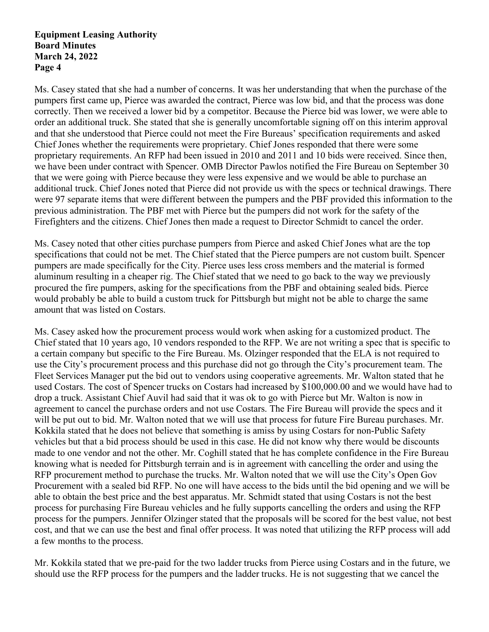Ms. Casey stated that she had a number of concerns. It was her understanding that when the purchase of the pumpers first came up, Pierce was awarded the contract, Pierce was low bid, and that the process was done correctly. Then we received a lower bid by a competitor. Because the Pierce bid was lower, we were able to order an additional truck. She stated that she is generally uncomfortable signing off on this interim approval and that she understood that Pierce could not meet the Fire Bureaus' specification requirements and asked Chief Jones whether the requirements were proprietary. Chief Jones responded that there were some proprietary requirements. An RFP had been issued in 2010 and 2011 and 10 bids were received. Since then, we have been under contract with Spencer. OMB Director Pawlos notified the Fire Bureau on September 30 that we were going with Pierce because they were less expensive and we would be able to purchase an additional truck. Chief Jones noted that Pierce did not provide us with the specs or technical drawings. There were 97 separate items that were different between the pumpers and the PBF provided this information to the previous administration. The PBF met with Pierce but the pumpers did not work for the safety of the Firefighters and the citizens. Chief Jones then made a request to Director Schmidt to cancel the order.

Ms. Casey noted that other cities purchase pumpers from Pierce and asked Chief Jones what are the top specifications that could not be met. The Chief stated that the Pierce pumpers are not custom built. Spencer pumpers are made specifically for the City. Pierce uses less cross members and the material is formed aluminum resulting in a cheaper rig. The Chief stated that we need to go back to the way we previously procured the fire pumpers, asking for the specifications from the PBF and obtaining sealed bids. Pierce would probably be able to build a custom truck for Pittsburgh but might not be able to charge the same amount that was listed on Costars.

Ms. Casey asked how the procurement process would work when asking for a customized product. The Chief stated that 10 years ago, 10 vendors responded to the RFP. We are not writing a spec that is specific to a certain company but specific to the Fire Bureau. Ms. Olzinger responded that the ELA is not required to use the City's procurement process and this purchase did not go through the City's procurement team. The Fleet Services Manager put the bid out to vendors using cooperative agreements. Mr. Walton stated that he used Costars. The cost of Spencer trucks on Costars had increased by \$100,000.00 and we would have had to drop a truck. Assistant Chief Auvil had said that it was ok to go with Pierce but Mr. Walton is now in agreement to cancel the purchase orders and not use Costars. The Fire Bureau will provide the specs and it will be put out to bid. Mr. Walton noted that we will use that process for future Fire Bureau purchases. Mr. Kokkila stated that he does not believe that something is amiss by using Costars for non-Public Safety vehicles but that a bid process should be used in this case. He did not know why there would be discounts made to one vendor and not the other. Mr. Coghill stated that he has complete confidence in the Fire Bureau knowing what is needed for Pittsburgh terrain and is in agreement with cancelling the order and using the RFP procurement method to purchase the trucks. Mr. Walton noted that we will use the City's Open Gov Procurement with a sealed bid RFP. No one will have access to the bids until the bid opening and we will be able to obtain the best price and the best apparatus. Mr. Schmidt stated that using Costars is not the best process for purchasing Fire Bureau vehicles and he fully supports cancelling the orders and using the RFP process for the pumpers. Jennifer Olzinger stated that the proposals will be scored for the best value, not best cost, and that we can use the best and final offer process. It was noted that utilizing the RFP process will add a few months to the process.

Mr. Kokkila stated that we pre-paid for the two ladder trucks from Pierce using Costars and in the future, we should use the RFP process for the pumpers and the ladder trucks. He is not suggesting that we cancel the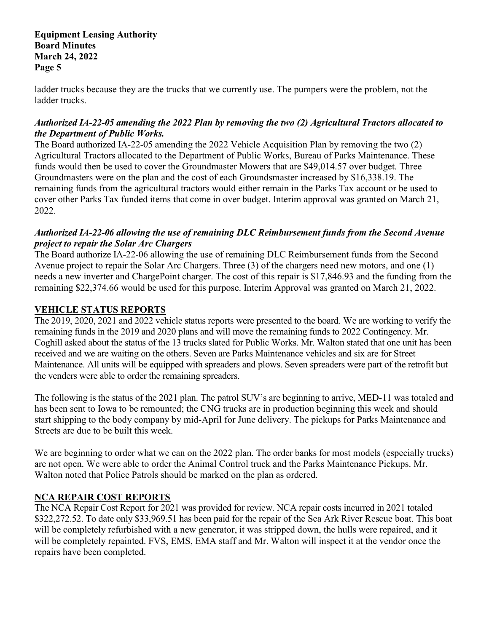ladder trucks because they are the trucks that we currently use. The pumpers were the problem, not the ladder trucks.

## Authorized IA-22-05 amending the 2022 Plan by removing the two (2) Agricultural Tractors allocated to the Department of Public Works.

The Board authorized IA-22-05 amending the 2022 Vehicle Acquisition Plan by removing the two (2) Agricultural Tractors allocated to the Department of Public Works, Bureau of Parks Maintenance. These funds would then be used to cover the Groundmaster Mowers that are \$49,014.57 over budget. Three Groundmasters were on the plan and the cost of each Groundsmaster increased by \$16,338.19. The remaining funds from the agricultural tractors would either remain in the Parks Tax account or be used to cover other Parks Tax funded items that come in over budget. Interim approval was granted on March 21, 2022.

# Authorized IA-22-06 allowing the use of remaining DLC Reimbursement funds from the Second Avenue project to repair the Solar Arc Chargers

The Board authorize IA-22-06 allowing the use of remaining DLC Reimbursement funds from the Second Avenue project to repair the Solar Arc Chargers. Three (3) of the chargers need new motors, and one (1) needs a new inverter and ChargePoint charger. The cost of this repair is \$17,846.93 and the funding from the remaining \$22,374.66 would be used for this purpose. Interim Approval was granted on March 21, 2022.

# VEHICLE STATUS REPORTS

The 2019, 2020, 2021 and 2022 vehicle status reports were presented to the board. We are working to verify the remaining funds in the 2019 and 2020 plans and will move the remaining funds to 2022 Contingency. Mr. Coghill asked about the status of the 13 trucks slated for Public Works. Mr. Walton stated that one unit has been received and we are waiting on the others. Seven are Parks Maintenance vehicles and six are for Street Maintenance. All units will be equipped with spreaders and plows. Seven spreaders were part of the retrofit but the venders were able to order the remaining spreaders.

The following is the status of the 2021 plan. The patrol SUV's are beginning to arrive, MED-11 was totaled and has been sent to Iowa to be remounted; the CNG trucks are in production beginning this week and should start shipping to the body company by mid-April for June delivery. The pickups for Parks Maintenance and Streets are due to be built this week.

We are beginning to order what we can on the 2022 plan. The order banks for most models (especially trucks) are not open. We were able to order the Animal Control truck and the Parks Maintenance Pickups. Mr. Walton noted that Police Patrols should be marked on the plan as ordered.

## NCA REPAIR COST REPORTS

The NCA Repair Cost Report for 2021 was provided for review. NCA repair costs incurred in 2021 totaled \$322,272.52. To date only \$33,969.51 has been paid for the repair of the Sea Ark River Rescue boat. This boat will be completely refurbished with a new generator, it was stripped down, the hulls were repaired, and it will be completely repainted. FVS, EMS, EMA staff and Mr. Walton will inspect it at the vendor once the repairs have been completed.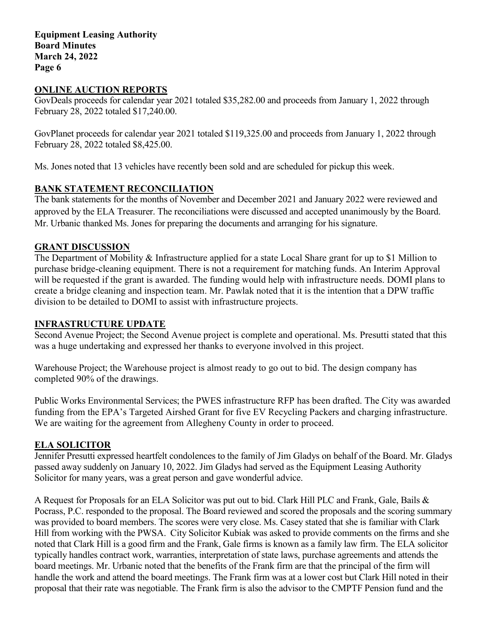#### ONLINE AUCTION REPORTS

GovDeals proceeds for calendar year 2021 totaled \$35,282.00 and proceeds from January 1, 2022 through February 28, 2022 totaled \$17,240.00.

GovPlanet proceeds for calendar year 2021 totaled \$119,325.00 and proceeds from January 1, 2022 through February 28, 2022 totaled \$8,425.00.

Ms. Jones noted that 13 vehicles have recently been sold and are scheduled for pickup this week.

#### BANK STATEMENT RECONCILIATION

The bank statements for the months of November and December 2021 and January 2022 were reviewed and approved by the ELA Treasurer. The reconciliations were discussed and accepted unanimously by the Board. Mr. Urbanic thanked Ms. Jones for preparing the documents and arranging for his signature.

## GRANT DISCUSSION

The Department of Mobility & Infrastructure applied for a state Local Share grant for up to \$1 Million to purchase bridge-cleaning equipment. There is not a requirement for matching funds. An Interim Approval will be requested if the grant is awarded. The funding would help with infrastructure needs. DOMI plans to create a bridge cleaning and inspection team. Mr. Pawlak noted that it is the intention that a DPW traffic division to be detailed to DOMI to assist with infrastructure projects.

## INFRASTRUCTURE UPDATE

Second Avenue Project; the Second Avenue project is complete and operational. Ms. Presutti stated that this was a huge undertaking and expressed her thanks to everyone involved in this project.

Warehouse Project; the Warehouse project is almost ready to go out to bid. The design company has completed 90% of the drawings.

Public Works Environmental Services; the PWES infrastructure RFP has been drafted. The City was awarded funding from the EPA's Targeted Airshed Grant for five EV Recycling Packers and charging infrastructure. We are waiting for the agreement from Allegheny County in order to proceed.

#### ELA SOLICITOR

Jennifer Presutti expressed heartfelt condolences to the family of Jim Gladys on behalf of the Board. Mr. Gladys passed away suddenly on January 10, 2022. Jim Gladys had served as the Equipment Leasing Authority Solicitor for many years, was a great person and gave wonderful advice.

A Request for Proposals for an ELA Solicitor was put out to bid. Clark Hill PLC and Frank, Gale, Bails & Pocrass, P.C. responded to the proposal. The Board reviewed and scored the proposals and the scoring summary was provided to board members. The scores were very close. Ms. Casey stated that she is familiar with Clark Hill from working with the PWSA. City Solicitor Kubiak was asked to provide comments on the firms and she noted that Clark Hill is a good firm and the Frank, Gale firms is known as a family law firm. The ELA solicitor typically handles contract work, warranties, interpretation of state laws, purchase agreements and attends the board meetings. Mr. Urbanic noted that the benefits of the Frank firm are that the principal of the firm will handle the work and attend the board meetings. The Frank firm was at a lower cost but Clark Hill noted in their proposal that their rate was negotiable. The Frank firm is also the advisor to the CMPTF Pension fund and the